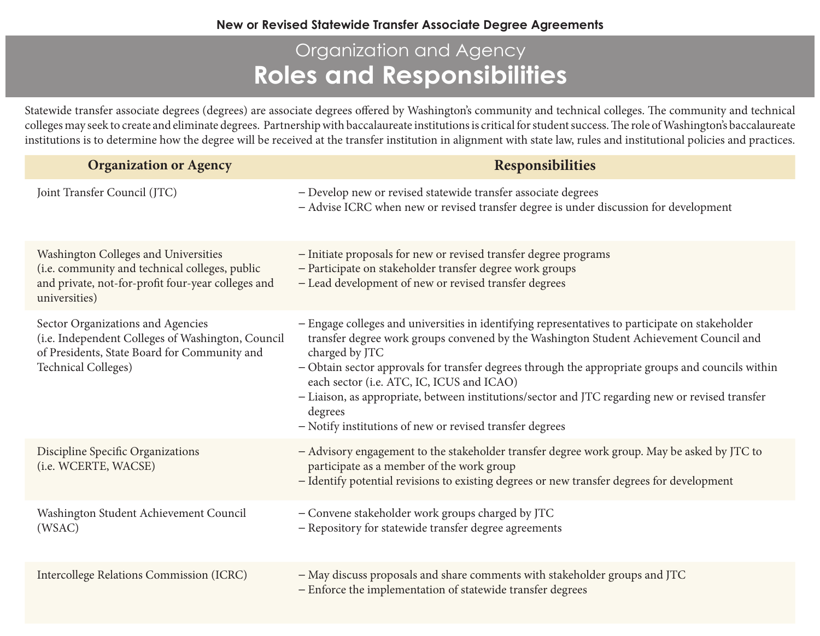## Organization and Agency **Roles and Responsibilities**

Statewide transfer associate degrees (degrees) are associate degrees offered by Washington's community and technical colleges. The community and technical colleges may seek to create and eliminate degrees. Partnership with baccalaureate institutions is critical for student success. The role of Washington's baccalaureate institutions is to determine how the degree will be received at the transfer institution in alignment with state law, rules and institutional policies and practices.

| <b>Organization or Agency</b>                                                                                                                                        | <b>Responsibilities</b>                                                                                                                                                                                                                                                                                                                                                                                                                                                                                                                  |
|----------------------------------------------------------------------------------------------------------------------------------------------------------------------|------------------------------------------------------------------------------------------------------------------------------------------------------------------------------------------------------------------------------------------------------------------------------------------------------------------------------------------------------------------------------------------------------------------------------------------------------------------------------------------------------------------------------------------|
| Joint Transfer Council (JTC)                                                                                                                                         | - Develop new or revised statewide transfer associate degrees<br>- Advise ICRC when new or revised transfer degree is under discussion for development                                                                                                                                                                                                                                                                                                                                                                                   |
| Washington Colleges and Universities<br>(i.e. community and technical colleges, public<br>and private, not-for-profit four-year colleges and<br>universities)        | - Initiate proposals for new or revised transfer degree programs<br>- Participate on stakeholder transfer degree work groups<br>- Lead development of new or revised transfer degrees                                                                                                                                                                                                                                                                                                                                                    |
| Sector Organizations and Agencies<br>(i.e. Independent Colleges of Washington, Council<br>of Presidents, State Board for Community and<br><b>Technical Colleges)</b> | - Engage colleges and universities in identifying representatives to participate on stakeholder<br>transfer degree work groups convened by the Washington Student Achievement Council and<br>charged by JTC<br>- Obtain sector approvals for transfer degrees through the appropriate groups and councils within<br>each sector (i.e. ATC, IC, ICUS and ICAO)<br>- Liaison, as appropriate, between institutions/sector and JTC regarding new or revised transfer<br>degrees<br>- Notify institutions of new or revised transfer degrees |
| Discipline Specific Organizations<br>(i.e. WCERTE, WACSE)                                                                                                            | - Advisory engagement to the stakeholder transfer degree work group. May be asked by JTC to<br>participate as a member of the work group<br>- Identify potential revisions to existing degrees or new transfer degrees for development                                                                                                                                                                                                                                                                                                   |
| Washington Student Achievement Council<br>(WSAC)                                                                                                                     | - Convene stakeholder work groups charged by JTC<br>- Repository for statewide transfer degree agreements                                                                                                                                                                                                                                                                                                                                                                                                                                |
| <b>Intercollege Relations Commission (ICRC)</b>                                                                                                                      | - May discuss proposals and share comments with stakeholder groups and JTC<br>- Enforce the implementation of statewide transfer degrees                                                                                                                                                                                                                                                                                                                                                                                                 |